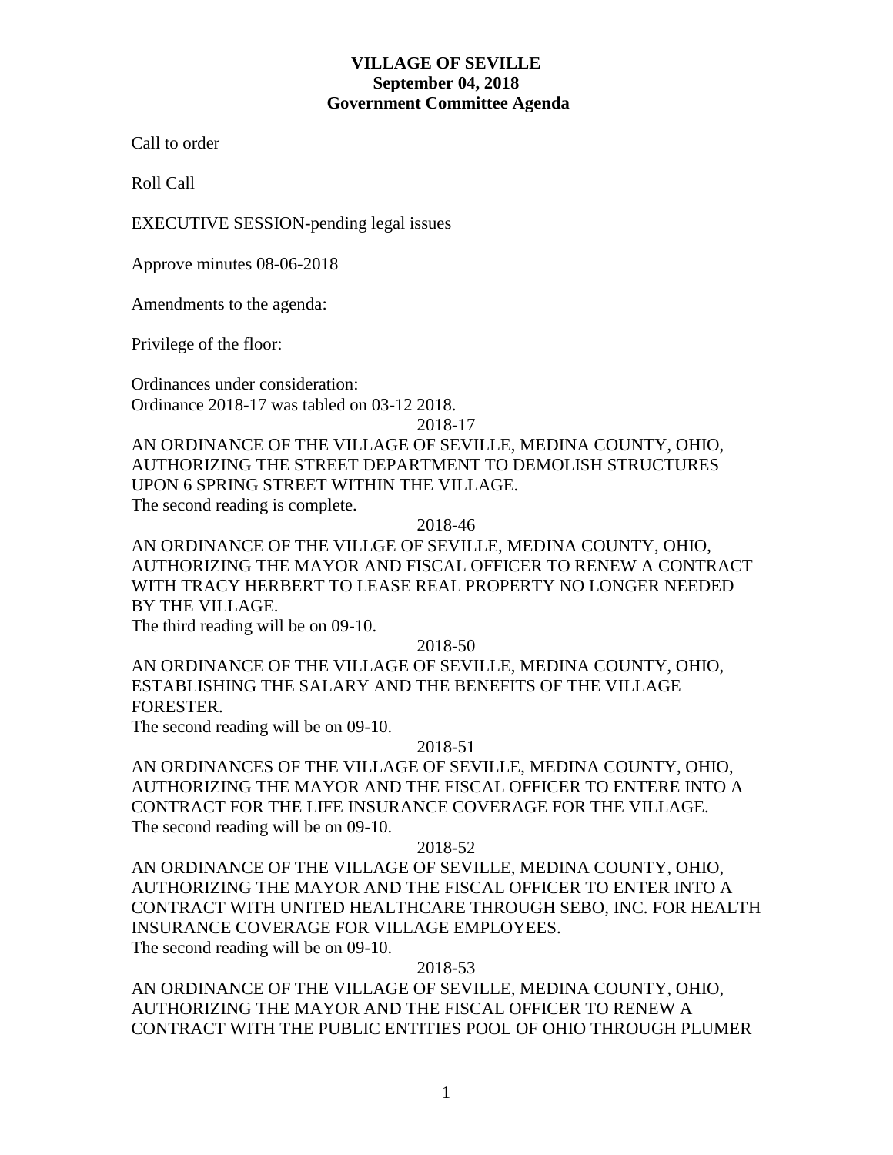## **VILLAGE OF SEVILLE September 04, 2018 Government Committee Agenda**

Call to order

Roll Call

EXECUTIVE SESSION-pending legal issues

Approve minutes 08-06-2018

Amendments to the agenda:

Privilege of the floor:

Ordinances under consideration: Ordinance 2018-17 was tabled on 03-12 2018.

2018-17

AN ORDINANCE OF THE VILLAGE OF SEVILLE, MEDINA COUNTY, OHIO, AUTHORIZING THE STREET DEPARTMENT TO DEMOLISH STRUCTURES UPON 6 SPRING STREET WITHIN THE VILLAGE. The second reading is complete.

2018-46

AN ORDINANCE OF THE VILLGE OF SEVILLE, MEDINA COUNTY, OHIO, AUTHORIZING THE MAYOR AND FISCAL OFFICER TO RENEW A CONTRACT WITH TRACY HERBERT TO LEASE REAL PROPERTY NO LONGER NEEDED BY THE VILLAGE.

The third reading will be on 09-10.

2018-50

AN ORDINANCE OF THE VILLAGE OF SEVILLE, MEDINA COUNTY, OHIO, ESTABLISHING THE SALARY AND THE BENEFITS OF THE VILLAGE FORESTER.

The second reading will be on 09-10.

### 2018-51

AN ORDINANCES OF THE VILLAGE OF SEVILLE, MEDINA COUNTY, OHIO, AUTHORIZING THE MAYOR AND THE FISCAL OFFICER TO ENTERE INTO A CONTRACT FOR THE LIFE INSURANCE COVERAGE FOR THE VILLAGE. The second reading will be on 09-10.

### 2018-52

AN ORDINANCE OF THE VILLAGE OF SEVILLE, MEDINA COUNTY, OHIO, AUTHORIZING THE MAYOR AND THE FISCAL OFFICER TO ENTER INTO A CONTRACT WITH UNITED HEALTHCARE THROUGH SEBO, INC. FOR HEALTH INSURANCE COVERAGE FOR VILLAGE EMPLOYEES. The second reading will be on 09-10.

## 2018-53

AN ORDINANCE OF THE VILLAGE OF SEVILLE, MEDINA COUNTY, OHIO, AUTHORIZING THE MAYOR AND THE FISCAL OFFICER TO RENEW A CONTRACT WITH THE PUBLIC ENTITIES POOL OF OHIO THROUGH PLUMER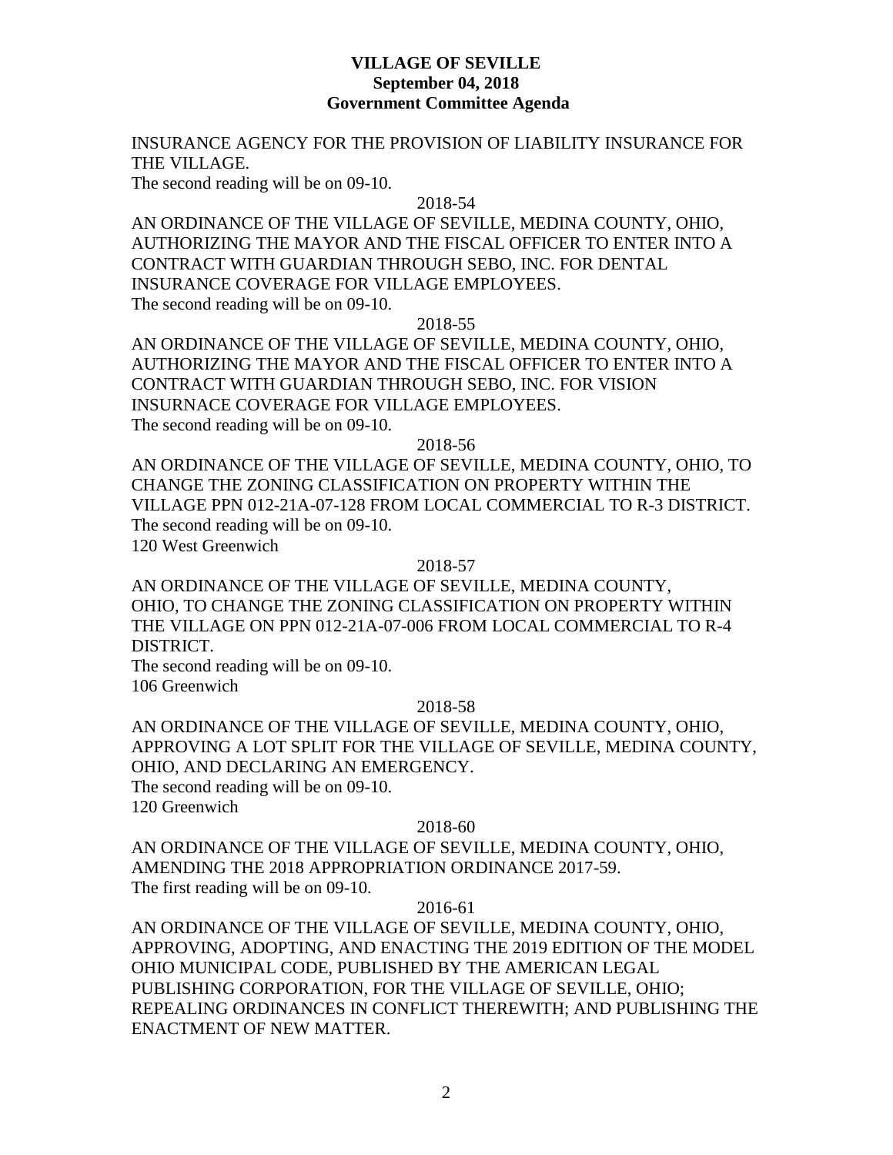## **VILLAGE OF SEVILLE September 04, 2018 Government Committee Agenda**

## INSURANCE AGENCY FOR THE PROVISION OF LIABILITY INSURANCE FOR THE VILLAGE.

The second reading will be on 09-10.

#### 2018-54

AN ORDINANCE OF THE VILLAGE OF SEVILLE, MEDINA COUNTY, OHIO, AUTHORIZING THE MAYOR AND THE FISCAL OFFICER TO ENTER INTO A CONTRACT WITH GUARDIAN THROUGH SEBO, INC. FOR DENTAL INSURANCE COVERAGE FOR VILLAGE EMPLOYEES. The second reading will be on 09-10.

### 2018-55

AN ORDINANCE OF THE VILLAGE OF SEVILLE, MEDINA COUNTY, OHIO, AUTHORIZING THE MAYOR AND THE FISCAL OFFICER TO ENTER INTO A CONTRACT WITH GUARDIAN THROUGH SEBO, INC. FOR VISION INSURNACE COVERAGE FOR VILLAGE EMPLOYEES. The second reading will be on 09-10.

### 2018-56

AN ORDINANCE OF THE VILLAGE OF SEVILLE, MEDINA COUNTY, OHIO, TO CHANGE THE ZONING CLASSIFICATION ON PROPERTY WITHIN THE VILLAGE PPN 012-21A-07-128 FROM LOCAL COMMERCIAL TO R-3 DISTRICT. The second reading will be on 09-10. 120 West Greenwich

#### 2018-57

AN ORDINANCE OF THE VILLAGE OF SEVILLE, MEDINA COUNTY, OHIO, TO CHANGE THE ZONING CLASSIFICATION ON PROPERTY WITHIN THE VILLAGE ON PPN 012-21A-07-006 FROM LOCAL COMMERCIAL TO R-4 DISTRICT.

The second reading will be on 09-10. 106 Greenwich

#### 2018-58

AN ORDINANCE OF THE VILLAGE OF SEVILLE, MEDINA COUNTY, OHIO, APPROVING A LOT SPLIT FOR THE VILLAGE OF SEVILLE, MEDINA COUNTY, OHIO, AND DECLARING AN EMERGENCY.

The second reading will be on 09-10. 120 Greenwich

#### 2018-60

AN ORDINANCE OF THE VILLAGE OF SEVILLE, MEDINA COUNTY, OHIO, AMENDING THE 2018 APPROPRIATION ORDINANCE 2017-59. The first reading will be on 09-10.

2016-61

AN ORDINANCE OF THE VILLAGE OF SEVILLE, MEDINA COUNTY, OHIO, APPROVING, ADOPTING, AND ENACTING THE 2019 EDITION OF THE MODEL OHIO MUNICIPAL CODE, PUBLISHED BY THE AMERICAN LEGAL PUBLISHING CORPORATION, FOR THE VILLAGE OF SEVILLE, OHIO; REPEALING ORDINANCES IN CONFLICT THEREWITH; AND PUBLISHING THE ENACTMENT OF NEW MATTER.